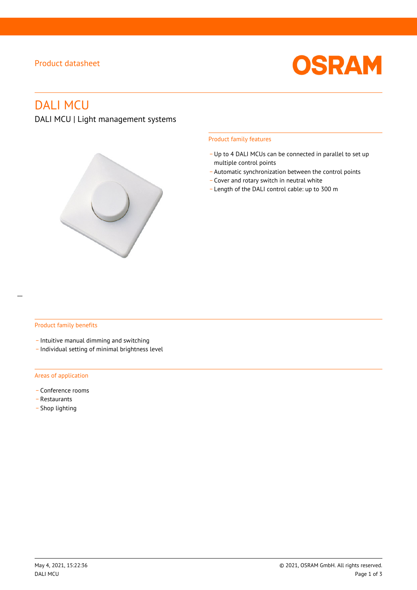# Product datasheet



# DALI MCU

# DALI MCU | Light management systems



#### Product family features

- Up to 4 DALI MCUs can be connected in parallel to set up multiple control points
- \_ Automatic synchronization between the control points
- \_ Cover and rotary switch in neutral white
- \_ Length of the DALI control cable: up to 300 m

#### Product family benefits

- \_ Intuitive manual dimming and switching
- \_ Individual setting of minimal brightness level

#### Areas of application

- Conference rooms
- \_ Restaurants
- Shop lighting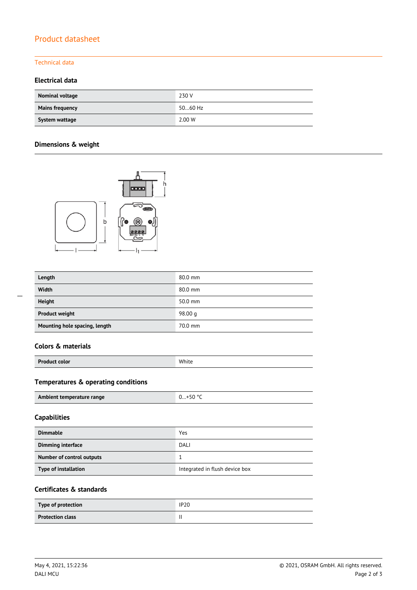# Product datasheet

#### Technical data

## **Electrical data**

| Nominal voltage        | 230 V   |
|------------------------|---------|
| <b>Mains frequency</b> | 5060 Hz |
| System wattage         | 2.00 W  |

## **Dimensions & weight**



| Length                        | 80.0 mm   |
|-------------------------------|-----------|
| Width                         | 80.0 mm   |
| Height                        | 50.0 mm   |
| <b>Product weight</b>         | 98.00 $q$ |
| Mounting hole spacing, length | 70.0 mm   |

### **Colors & materials**

| <b>Product color</b> | White |
|----------------------|-------|
|                      |       |

# **Temperatures & operating conditions**

| Ambient temperature range | $0+50 °C$ |
|---------------------------|-----------|
|                           |           |

## **Capabilities**

| <b>Dimmable</b>             | Yes                            |
|-----------------------------|--------------------------------|
| Dimming interface           | DALI                           |
| Number of control outputs   |                                |
| <b>Type of installation</b> | Integrated in flush device box |

## **Certificates & standards**

| Type of protection      | <b>IP20</b> |
|-------------------------|-------------|
| <b>Protection class</b> |             |